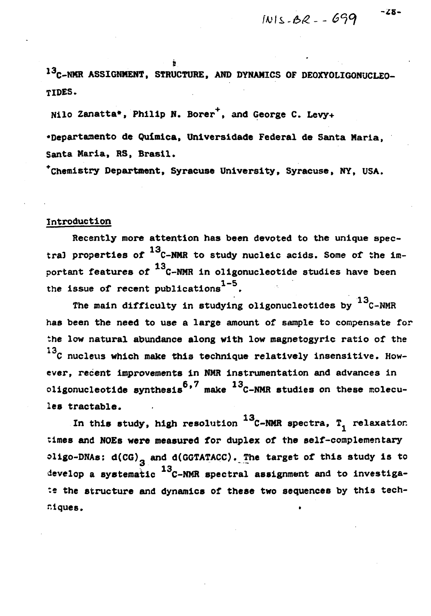$1NIS-16R - -699$ 

s **l3C-NMR ASSIGNMENT, STRUCTURE, AND DYNAMICS OF DEOXYOLIGONUCLEO-TIDES.**

**Nilo Zanatta», Philip N. Borer<sup>+</sup>, and George C. Levy+**

**«Departamento de Química, Universidade Federal de Santa Maria, Santa Maria, RS, Brasil.**

**<sup>+</sup>Chemistry Department, Syracuse University, Syracuse, NY, USA.**

# **Introduction**

**Recently more attention has been devoted to the unique spec**tral properties of  $^{13}$ C-NMR to study nucleic acids. Some of the important features of <sup>13</sup>C-NMR in oligonucleotide studies have been the issue of recent publications<sup>1-5</sup>.

**13 The main difficulty in studying oligonucleotides by C-NMR has been the need to use a large amount of sample to compensate for the low natural abundance along with low magnetogyric ratio of the 13 C nucleus which make this technique relatively insensitive. However, recent improvements in NMR instrumentation and advances in** oligonucleotide synthesis<sup>6,7</sup> make  $^{13}$ C-NMR studies on these molecu**oligonucleotide synthesis ' make C-NMR studies on these molecu-**

**les tractable.** In this study, high resolution <sup>--</sup>C-NMR spectra, T<sub>1</sub> relaxation<br>**times and NOEs were measured for duplex of the self-complementary oligo-DNAs: d(CG)\_ and d(GGTATACC). The target of this study is to** develop a systematic <sup>13</sup>C-NMR spectral assignment and to investigate the structure and dynamics of these two sequences by this tech**te the structure and dynamics of these two sequences by this tech-**

-Z8-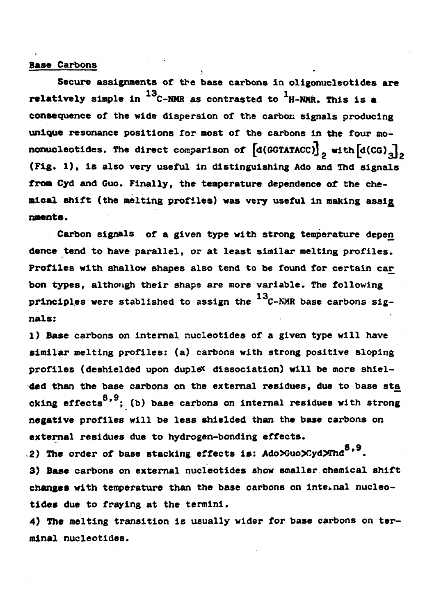### **Base Carbons**

**Secure assignments of the base carbons in oligonucleotides are relatively** simple in  $^{13}$ C-NMR as contrasted to  $^{1}$ H-NMR. This is a **consequence of the wide dispersion of the carbon signals producing** unique resonance positions for most of the carbons in the four mo**nonucleotides.** The direct comparison of  $\left[d(GGTATACC)\right]_2$  with  $\left[d(GG)\right]_2$ **(Fig, 1), is also very useful in distinguishing Ado and Thd signals from Cyd and Guo. Finally, the temperature dependence of the chemical shift (the melting profiles) was very useful in making assig nments.**

**Carbon signals of a given type with strong temperature depen dence tend to have parallel, or at least similar melting profiles. Profiles with shallow shapes also tend to be found for certain car bon types, although their shape are more variable. The following** principles were stablished to assign the <sup>13</sup>C-NMR base carbons sig**principles were stablished tc assign the C-NMR base carbons sig-**

1) Base carbons on internal nucleotides of a given type will have similar melting profiles: (a) carbons with strong positive sloping profiles (deshielded upon duple<sup>x</sup> dissociation) will be more shiel**ded than the base carbons on the external residues, due to base sta ded than the base carbons on the external residues, due to base sta 8 9 eking effects ' ; (b) base carbons on internal residues with strong negative profiles will be less shielded than the base carbons on external residues due to hydrogen-bonding effects.**

.2) The order of base stacking effects is: Ado>Guo>Cyd>Thd<sup>8,9</sup>. **3) Base carbons on external nucleotides show smaller chemical shift** changes with temperature than the base carbons on internal nucleotides due to fraying at the termini.

4) The melting transition is usually wider for base carbons on terminal nucleotides.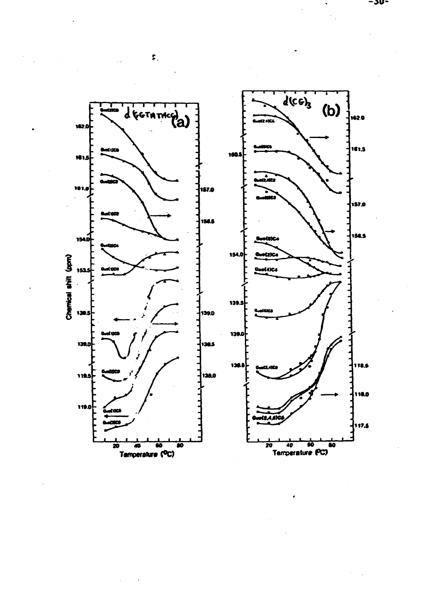-96-



 $\bar{\mathbf{r}}_i$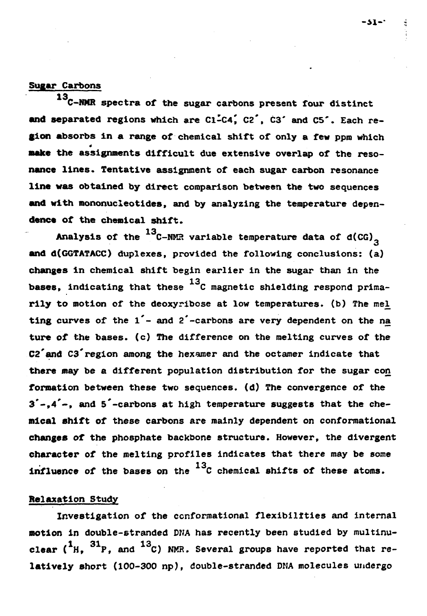### **Sugar Carbons**

13<sub>C</sub>-NMR spectra of the sugar carbons present four distinct and separated regions which are C1-C4, C2<sup>'</sup>, C3' and C5'. Each region absorbs in a range of chemical shift of only a few ppm which make the assignments difficult due extensive overlap of the resonance lines. Tentative assignment of each sugar carbon resonance line was obtained by direct comparison between the two sequences and with mononucleotides, and by analyzing the temperature dependence of the chemical shift.

 $\frac{13}{2}$ **Analysis of the <sup>-</sup>C-NMR variable temperature data of d(CG)**  $\tilde{ }$ **and d(GGTATACC) duplexes, provided the following conclusions: (a) changes in chemical shift begin earlier in the sugar than in the** bases, indicating that these <sup>13</sup>C magnetic shielding respond primarily to motion of the deoxyribose at low temperatures. (b) The mel ting curves of the 1<sup>'</sup>- and 2<sup>'</sup>-carbons are very dependent on the na ture of the bases. (c) The difference on the melting curves of the C2<sup>'</sup> and C3<sup>'</sup> region among the hexamer and the octamer indicate that there may be a different population distribution for the sugar con formation between these two sequences. (d) The convergence of the *f***<sub>c</sub>.4<sup>'</sup>-. and 5<sup>'</sup>-carbons at high temperature suggests that the che**mical shift of these carbons are mainly dependent on conformational changes of the phosphate backbone structure. However, the divergent character of the melting profiles indicates that there may be some **character of the melting profiles indicates that there may be some 13 influence of the bases on the C chemical shifts of these atoms.**

## **Relaxation Study**

**Investigation of the ccnformational flexibilities and internal motion in double-stranded DNA has recently been studied by multinu**clear  $\binom{1}{1}$ ,  $\frac{31}{1}$  and  $\frac{13}{1}$ C) NMR. Several groups have reported that relatively short (100-300 np), double-stranded DNA molecules undergo

**latively short (100-300 np), double-stranded DNA molecules undergo**